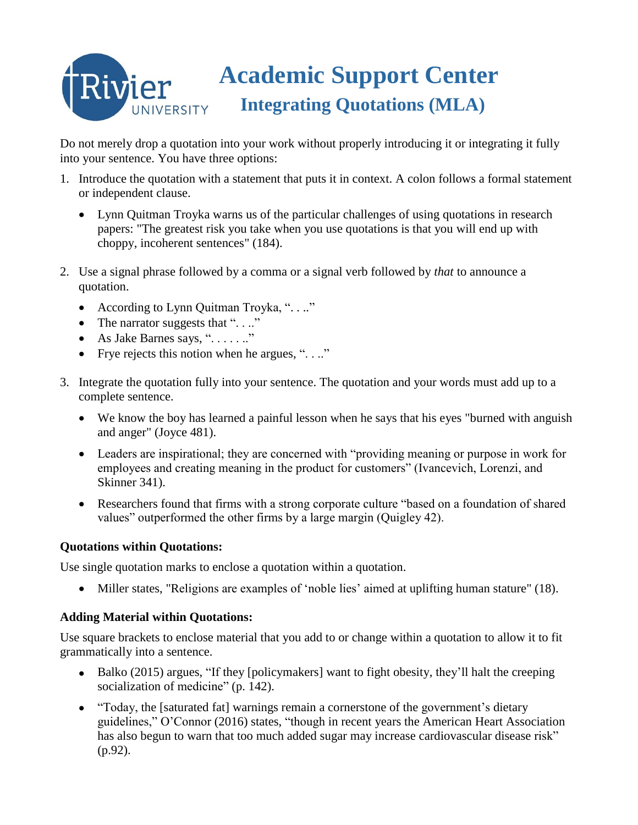# **Academic Support Center** Rivier  **Integrating Quotations (MLA)** UNIVERSITY

Do not merely drop a quotation into your work without properly introducing it or integrating it fully into your sentence. You have three options:

- 1. Introduce the quotation with a statement that puts it in context. A colon follows a formal statement or independent clause.
	- Lynn Quitman Troyka warns us of the particular challenges of using quotations in research papers: "The greatest risk you take when you use quotations is that you will end up with choppy, incoherent sentences" (184).
- 2. Use a signal phrase followed by a comma or a signal verb followed by *that* to announce a quotation.
	- According to Lynn Quitman Troyka, "...."
	- The narrator suggests that " $\ldots$ "
	- As Jake Barnes says, ". . . . . .."
	- Frye rejects this notion when he argues, " $\ldots$ "
- 3. Integrate the quotation fully into your sentence. The quotation and your words must add up to a complete sentence.
	- We know the boy has learned a painful lesson when he says that his eyes "burned with anguish and anger" (Joyce 481).
	- Leaders are inspirational; they are concerned with "providing meaning or purpose in work for employees and creating meaning in the product for customers" (Ivancevich, Lorenzi, and Skinner 341).
	- Researchers found that firms with a strong corporate culture "based on a foundation of shared values" outperformed the other firms by a large margin (Quigley 42).

## **Quotations within Quotations:**

Use single quotation marks to enclose a quotation within a quotation.

Miller states, "Religions are examples of 'noble lies' aimed at uplifting human stature" (18).

## **Adding Material within Quotations:**

Use square brackets to enclose material that you add to or change within a quotation to allow it to fit grammatically into a sentence.

- Balko (2015) argues, "If they [policymakers] want to fight obesity, they'll halt the creeping socialization of medicine" (p. 142).
- "Today, the [saturated fat] warnings remain a cornerstone of the government's dietary guidelines," O'Connor (2016) states, "though in recent years the American Heart Association has also begun to warn that too much added sugar may increase cardiovascular disease risk" (p.92).